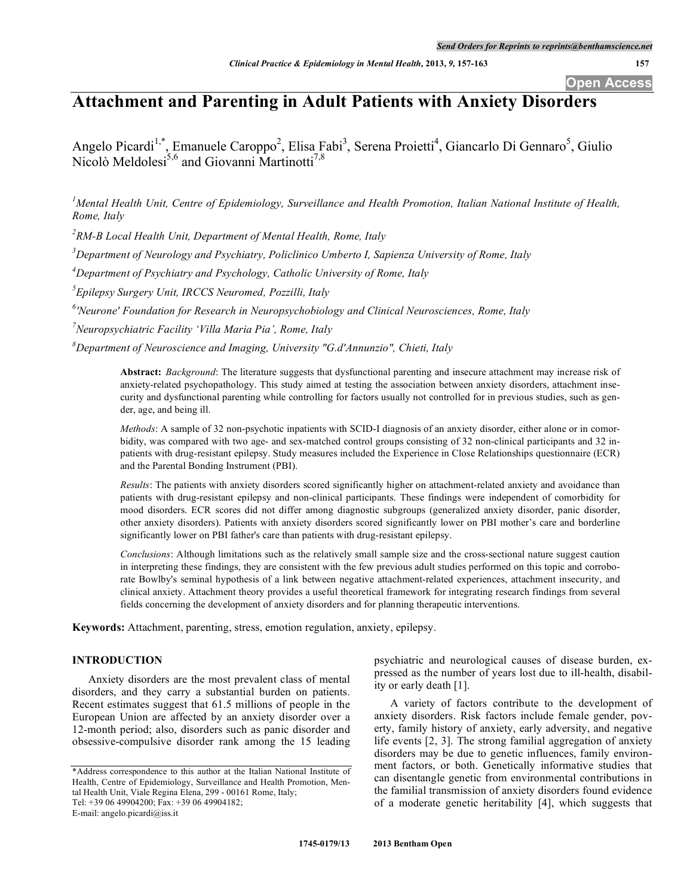**Open Access**

# **Attachment and Parenting in Adult Patients with Anxiety Disorders**

Angelo Picardi<sup>1,\*</sup>, Emanuele Caroppo<sup>2</sup>, Elisa Fabi<sup>3</sup>, Serena Proietti<sup>4</sup>, Giancarlo Di Gennaro<sup>5</sup>, Giulio Nicolò Meldolesi<sup>5,6</sup> and Giovanni Martinotti<sup>7,8</sup>

<sup>1</sup>Mental Health Unit, Centre of Epidemiology, Surveillance and Health Promotion, Italian National Institute of Health, *Rome, Italy*

*2 RM-B Local Health Unit, Department of Mental Health, Rome, Italy*

*3 Department of Neurology and Psychiatry, Policlinico Umberto I, Sapienza University of Rome, Italy*

*4 Department of Psychiatry and Psychology, Catholic University of Rome, Italy*

*5 Epilepsy Surgery Unit, IRCCS Neuromed, Pozzilli, Italy*

*6 'Neurone' Foundation for Research in Neuropsychobiology and Clinical Neurosciences, Rome, Italy*

*7 Neuropsychiatric Facility 'Villa Maria Pia', Rome, Italy*

*8 Department of Neuroscience and Imaging, University "G.d'Annunzio", Chieti, Italy*

**Abstract:** *Background*: The literature suggests that dysfunctional parenting and insecure attachment may increase risk of anxiety-related psychopathology. This study aimed at testing the association between anxiety disorders, attachment insecurity and dysfunctional parenting while controlling for factors usually not controlled for in previous studies, such as gender, age, and being ill.

*Methods*: A sample of 32 non-psychotic inpatients with SCID-I diagnosis of an anxiety disorder, either alone or in comorbidity, was compared with two age- and sex-matched control groups consisting of 32 non-clinical participants and 32 inpatients with drug-resistant epilepsy. Study measures included the Experience in Close Relationships questionnaire (ECR) and the Parental Bonding Instrument (PBI).

*Results*: The patients with anxiety disorders scored significantly higher on attachment-related anxiety and avoidance than patients with drug-resistant epilepsy and non-clinical participants. These findings were independent of comorbidity for mood disorders. ECR scores did not differ among diagnostic subgroups (generalized anxiety disorder, panic disorder, other anxiety disorders). Patients with anxiety disorders scored significantly lower on PBI mother's care and borderline significantly lower on PBI father's care than patients with drug-resistant epilepsy.

*Conclusions*: Although limitations such as the relatively small sample size and the cross-sectional nature suggest caution in interpreting these findings, they are consistent with the few previous adult studies performed on this topic and corroborate Bowlby's seminal hypothesis of a link between negative attachment-related experiences, attachment insecurity, and clinical anxiety. Attachment theory provides a useful theoretical framework for integrating research findings from several fields concerning the development of anxiety disorders and for planning therapeutic interventions.

**Keywords:** Attachment, parenting, stress, emotion regulation, anxiety, epilepsy.

# **INTRODUCTION**

Anxiety disorders are the most prevalent class of mental disorders, and they carry a substantial burden on patients. Recent estimates suggest that 61.5 millions of people in the European Union are affected by an anxiety disorder over a 12-month period; also, disorders such as panic disorder and obsessive-compulsive disorder rank among the 15 leading psychiatric and neurological causes of disease burden, expressed as the number of years lost due to ill-health, disability or early death [1].

A variety of factors contribute to the development of anxiety disorders. Risk factors include female gender, poverty, family history of anxiety, early adversity, and negative life events [2, 3]. The strong familial aggregation of anxiety disorders may be due to genetic influences, family environment factors, or both. Genetically informative studies that can disentangle genetic from environmental contributions in the familial transmission of anxiety disorders found evidence of a moderate genetic heritability [4], which suggests that

<sup>\*</sup>Address correspondence to this author at the Italian National Institute of Health, Centre of Epidemiology, Surveillance and Health Promotion, Mental Health Unit, Viale Regina Elena, 299 - 00161 Rome, Italy; Tel: +39 06 49904200; Fax: +39 06 49904182; E-mail: angelo.picardi@iss.it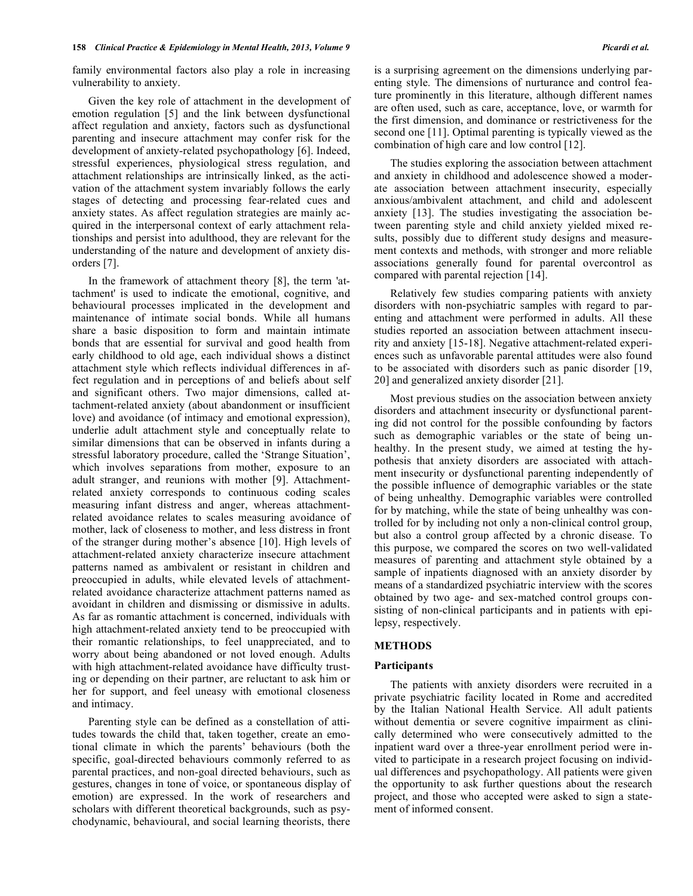family environmental factors also play a role in increasing vulnerability to anxiety.

Given the key role of attachment in the development of emotion regulation [5] and the link between dysfunctional affect regulation and anxiety, factors such as dysfunctional parenting and insecure attachment may confer risk for the development of anxiety-related psychopathology [6]. Indeed, stressful experiences, physiological stress regulation, and attachment relationships are intrinsically linked, as the activation of the attachment system invariably follows the early stages of detecting and processing fear-related cues and anxiety states. As affect regulation strategies are mainly acquired in the interpersonal context of early attachment relationships and persist into adulthood, they are relevant for the understanding of the nature and development of anxiety disorders [7].

In the framework of attachment theory [8], the term 'attachment' is used to indicate the emotional, cognitive, and behavioural processes implicated in the development and maintenance of intimate social bonds. While all humans share a basic disposition to form and maintain intimate bonds that are essential for survival and good health from early childhood to old age, each individual shows a distinct attachment style which reflects individual differences in affect regulation and in perceptions of and beliefs about self and significant others. Two major dimensions, called attachment-related anxiety (about abandonment or insufficient love) and avoidance (of intimacy and emotional expression), underlie adult attachment style and conceptually relate to similar dimensions that can be observed in infants during a stressful laboratory procedure, called the 'Strange Situation', which involves separations from mother, exposure to an adult stranger, and reunions with mother [9]. Attachmentrelated anxiety corresponds to continuous coding scales measuring infant distress and anger, whereas attachmentrelated avoidance relates to scales measuring avoidance of mother, lack of closeness to mother, and less distress in front of the stranger during mother's absence [10]. High levels of attachment-related anxiety characterize insecure attachment patterns named as ambivalent or resistant in children and preoccupied in adults, while elevated levels of attachmentrelated avoidance characterize attachment patterns named as avoidant in children and dismissing or dismissive in adults. As far as romantic attachment is concerned, individuals with high attachment-related anxiety tend to be preoccupied with their romantic relationships, to feel unappreciated, and to worry about being abandoned or not loved enough. Adults with high attachment-related avoidance have difficulty trusting or depending on their partner, are reluctant to ask him or her for support, and feel uneasy with emotional closeness and intimacy.

Parenting style can be defined as a constellation of attitudes towards the child that, taken together, create an emotional climate in which the parents' behaviours (both the specific, goal-directed behaviours commonly referred to as parental practices, and non-goal directed behaviours, such as gestures, changes in tone of voice, or spontaneous display of emotion) are expressed. In the work of researchers and scholars with different theoretical backgrounds, such as psychodynamic, behavioural, and social learning theorists, there

is a surprising agreement on the dimensions underlying parenting style. The dimensions of nurturance and control feature prominently in this literature, although different names are often used, such as care, acceptance, love, or warmth for the first dimension, and dominance or restrictiveness for the second one [11]. Optimal parenting is typically viewed as the combination of high care and low control [12].

The studies exploring the association between attachment and anxiety in childhood and adolescence showed a moderate association between attachment insecurity, especially anxious/ambivalent attachment, and child and adolescent anxiety [13]. The studies investigating the association between parenting style and child anxiety yielded mixed results, possibly due to different study designs and measurement contexts and methods, with stronger and more reliable associations generally found for parental overcontrol as compared with parental rejection [14].

Relatively few studies comparing patients with anxiety disorders with non-psychiatric samples with regard to parenting and attachment were performed in adults. All these studies reported an association between attachment insecurity and anxiety [15-18]. Negative attachment-related experiences such as unfavorable parental attitudes were also found to be associated with disorders such as panic disorder [19, 20] and generalized anxiety disorder [21].

Most previous studies on the association between anxiety disorders and attachment insecurity or dysfunctional parenting did not control for the possible confounding by factors such as demographic variables or the state of being unhealthy. In the present study, we aimed at testing the hypothesis that anxiety disorders are associated with attachment insecurity or dysfunctional parenting independently of the possible influence of demographic variables or the state of being unhealthy. Demographic variables were controlled for by matching, while the state of being unhealthy was controlled for by including not only a non-clinical control group, but also a control group affected by a chronic disease. To this purpose, we compared the scores on two well-validated measures of parenting and attachment style obtained by a sample of inpatients diagnosed with an anxiety disorder by means of a standardized psychiatric interview with the scores obtained by two age- and sex-matched control groups consisting of non-clinical participants and in patients with epilepsy, respectively.

# **METHODS**

# **Participants**

The patients with anxiety disorders were recruited in a private psychiatric facility located in Rome and accredited by the Italian National Health Service. All adult patients without dementia or severe cognitive impairment as clinically determined who were consecutively admitted to the inpatient ward over a three-year enrollment period were invited to participate in a research project focusing on individual differences and psychopathology. All patients were given the opportunity to ask further questions about the research project, and those who accepted were asked to sign a statement of informed consent.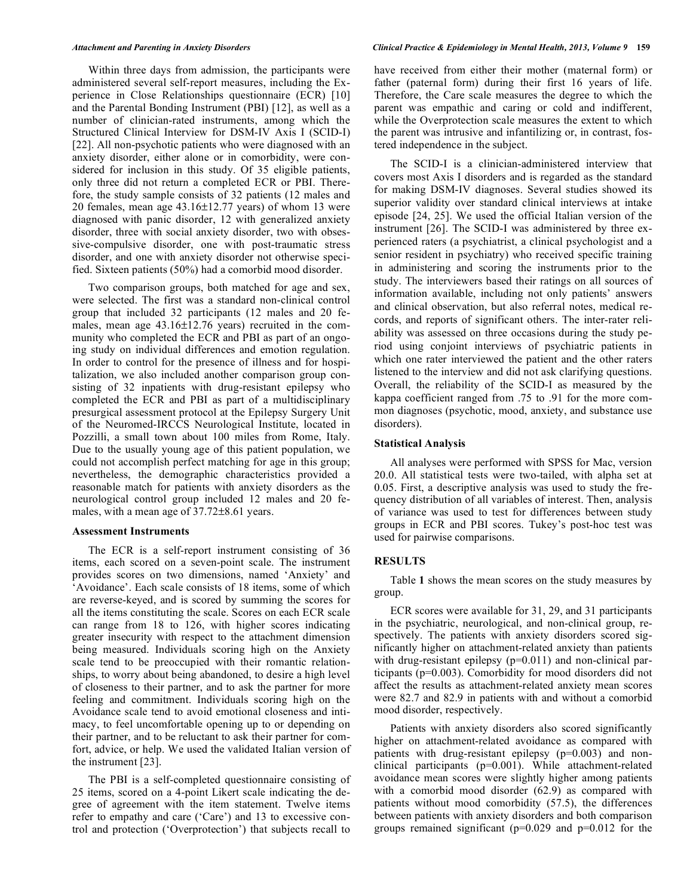Within three days from admission, the participants were administered several self-report measures, including the Experience in Close Relationships questionnaire (ECR) [10] and the Parental Bonding Instrument (PBI) [12], as well as a number of clinician-rated instruments, among which the Structured Clinical Interview for DSM-IV Axis I (SCID-I) [22]. All non-psychotic patients who were diagnosed with an anxiety disorder, either alone or in comorbidity, were considered for inclusion in this study. Of 35 eligible patients, only three did not return a completed ECR or PBI. Therefore, the study sample consists of 32 patients (12 males and 20 females, mean age 43.16±12.77 years) of whom 13 were diagnosed with panic disorder, 12 with generalized anxiety disorder, three with social anxiety disorder, two with obsessive-compulsive disorder, one with post-traumatic stress disorder, and one with anxiety disorder not otherwise specified. Sixteen patients (50%) had a comorbid mood disorder.

Two comparison groups, both matched for age and sex, were selected. The first was a standard non-clinical control group that included 32 participants (12 males and 20 females, mean age 43.16±12.76 years) recruited in the community who completed the ECR and PBI as part of an ongoing study on individual differences and emotion regulation. In order to control for the presence of illness and for hospitalization, we also included another comparison group consisting of 32 inpatients with drug-resistant epilepsy who completed the ECR and PBI as part of a multidisciplinary presurgical assessment protocol at the Epilepsy Surgery Unit of the Neuromed-IRCCS Neurological Institute, located in Pozzilli, a small town about 100 miles from Rome, Italy. Due to the usually young age of this patient population, we could not accomplish perfect matching for age in this group; nevertheless, the demographic characteristics provided a reasonable match for patients with anxiety disorders as the neurological control group included 12 males and 20 females, with a mean age of 37.72±8.61 years.

### **Assessment Instruments**

The ECR is a self-report instrument consisting of 36 items, each scored on a seven-point scale. The instrument provides scores on two dimensions, named 'Anxiety' and 'Avoidance'. Each scale consists of 18 items, some of which are reverse-keyed, and is scored by summing the scores for all the items constituting the scale. Scores on each ECR scale can range from 18 to 126, with higher scores indicating greater insecurity with respect to the attachment dimension being measured. Individuals scoring high on the Anxiety scale tend to be preoccupied with their romantic relationships, to worry about being abandoned, to desire a high level of closeness to their partner, and to ask the partner for more feeling and commitment. Individuals scoring high on the Avoidance scale tend to avoid emotional closeness and intimacy, to feel uncomfortable opening up to or depending on their partner, and to be reluctant to ask their partner for comfort, advice, or help. We used the validated Italian version of the instrument [23].

The PBI is a self-completed questionnaire consisting of 25 items, scored on a 4-point Likert scale indicating the degree of agreement with the item statement. Twelve items refer to empathy and care ('Care') and 13 to excessive control and protection ('Overprotection') that subjects recall to

have received from either their mother (maternal form) or father (paternal form) during their first 16 years of life. Therefore, the Care scale measures the degree to which the parent was empathic and caring or cold and indifferent, while the Overprotection scale measures the extent to which the parent was intrusive and infantilizing or, in contrast, fostered independence in the subject.

The SCID-I is a clinician-administered interview that covers most Axis I disorders and is regarded as the standard for making DSM-IV diagnoses. Several studies showed its superior validity over standard clinical interviews at intake episode [24, 25]. We used the official Italian version of the instrument [26]. The SCID-I was administered by three experienced raters (a psychiatrist, a clinical psychologist and a senior resident in psychiatry) who received specific training in administering and scoring the instruments prior to the study. The interviewers based their ratings on all sources of information available, including not only patients' answers and clinical observation, but also referral notes, medical records, and reports of significant others. The inter-rater reliability was assessed on three occasions during the study period using conjoint interviews of psychiatric patients in which one rater interviewed the patient and the other raters listened to the interview and did not ask clarifying questions. Overall, the reliability of the SCID-I as measured by the kappa coefficient ranged from .75 to .91 for the more common diagnoses (psychotic, mood, anxiety, and substance use disorders).

### **Statistical Analysis**

All analyses were performed with SPSS for Mac, version 20.0. All statistical tests were two-tailed, with alpha set at 0.05. First, a descriptive analysis was used to study the frequency distribution of all variables of interest. Then, analysis of variance was used to test for differences between study groups in ECR and PBI scores. Tukey's post-hoc test was used for pairwise comparisons.

# **RESULTS**

Table **1** shows the mean scores on the study measures by group.

ECR scores were available for 31, 29, and 31 participants in the psychiatric, neurological, and non-clinical group, respectively. The patients with anxiety disorders scored significantly higher on attachment-related anxiety than patients with drug-resistant epilepsy (p=0.011) and non-clinical participants (p=0.003). Comorbidity for mood disorders did not affect the results as attachment-related anxiety mean scores were 82.7 and 82.9 in patients with and without a comorbid mood disorder, respectively.

Patients with anxiety disorders also scored significantly higher on attachment-related avoidance as compared with patients with drug-resistant epilepsy (p=0.003) and nonclinical participants (p=0.001). While attachment-related avoidance mean scores were slightly higher among patients with a comorbid mood disorder (62.9) as compared with patients without mood comorbidity (57.5), the differences between patients with anxiety disorders and both comparison groups remained significant (p=0.029 and p=0.012 for the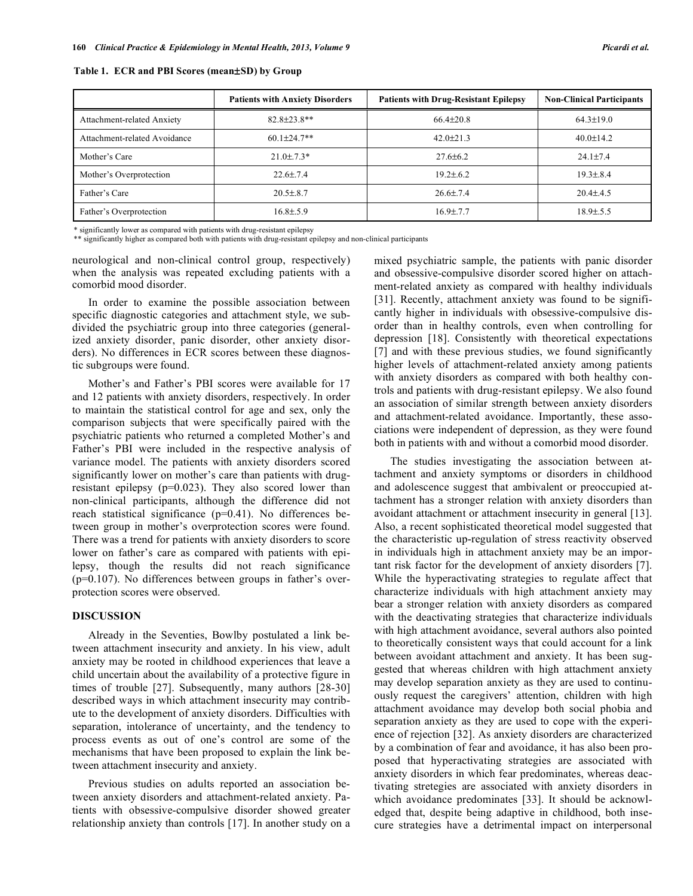|                              | <b>Patients with Anxiety Disorders</b> | <b>Patients with Drug-Resistant Epilepsy</b> | <b>Non-Clinical Participants</b> |
|------------------------------|----------------------------------------|----------------------------------------------|----------------------------------|
| Attachment-related Anxiety   | $82.8 \pm 23.8**$                      | $66.4 \pm 20.8$                              | $64.3 \pm 19.0$                  |
| Attachment-related Avoidance | $60.1 \pm 24.7$ **                     | $42.0 \pm 21.3$                              | $40.0 \pm 14.2$                  |
| Mother's Care                | $21.0 \pm .7.3*$                       | $27.6 \pm 6.2$                               | $24.1 \pm 7.4$                   |
| Mother's Overprotection      | $22.6 \pm 7.4$                         | $19.2 \pm 6.2$                               | $19.3 \pm 8.4$                   |
| Father's Care                | $20.5 \pm 8.7$                         | $26.6 \pm 7.4$                               | $20.4 \pm 4.5$                   |
| Father's Overprotection      | $16.8 \pm 5.9$                         | $16.9 \pm 7.7$                               | $18.9 \pm .5.5$                  |

**Table 1. ECR and PBI Scores (mean**±**SD) by Group**

\* significantly lower as compared with patients with drug-resistant epilepsy

\*\* significantly higher as compared both with patients with drug-resistant epilepsy and non-clinical participants

neurological and non-clinical control group, respectively) when the analysis was repeated excluding patients with a comorbid mood disorder.

In order to examine the possible association between specific diagnostic categories and attachment style, we subdivided the psychiatric group into three categories (generalized anxiety disorder, panic disorder, other anxiety disorders). No differences in ECR scores between these diagnostic subgroups were found.

Mother's and Father's PBI scores were available for 17 and 12 patients with anxiety disorders, respectively. In order to maintain the statistical control for age and sex, only the comparison subjects that were specifically paired with the psychiatric patients who returned a completed Mother's and Father's PBI were included in the respective analysis of variance model. The patients with anxiety disorders scored significantly lower on mother's care than patients with drugresistant epilepsy (p=0.023). They also scored lower than non-clinical participants, although the difference did not reach statistical significance (p=0.41). No differences between group in mother's overprotection scores were found. There was a trend for patients with anxiety disorders to score lower on father's care as compared with patients with epilepsy, though the results did not reach significance (p=0.107). No differences between groups in father's overprotection scores were observed.

# **DISCUSSION**

Already in the Seventies, Bowlby postulated a link between attachment insecurity and anxiety. In his view, adult anxiety may be rooted in childhood experiences that leave a child uncertain about the availability of a protective figure in times of trouble [27]. Subsequently, many authors [28-30] described ways in which attachment insecurity may contribute to the development of anxiety disorders. Difficulties with separation, intolerance of uncertainty, and the tendency to process events as out of one's control are some of the mechanisms that have been proposed to explain the link between attachment insecurity and anxiety.

Previous studies on adults reported an association between anxiety disorders and attachment-related anxiety. Patients with obsessive-compulsive disorder showed greater relationship anxiety than controls [17]. In another study on a mixed psychiatric sample, the patients with panic disorder and obsessive-compulsive disorder scored higher on attachment-related anxiety as compared with healthy individuals [31]. Recently, attachment anxiety was found to be significantly higher in individuals with obsessive-compulsive disorder than in healthy controls, even when controlling for depression [18]. Consistently with theoretical expectations [7] and with these previous studies, we found significantly higher levels of attachment-related anxiety among patients with anxiety disorders as compared with both healthy controls and patients with drug-resistant epilepsy. We also found an association of similar strength between anxiety disorders and attachment-related avoidance. Importantly, these associations were independent of depression, as they were found both in patients with and without a comorbid mood disorder.

The studies investigating the association between attachment and anxiety symptoms or disorders in childhood and adolescence suggest that ambivalent or preoccupied attachment has a stronger relation with anxiety disorders than avoidant attachment or attachment insecurity in general [13]. Also, a recent sophisticated theoretical model suggested that the characteristic up-regulation of stress reactivity observed in individuals high in attachment anxiety may be an important risk factor for the development of anxiety disorders [7]. While the hyperactivating strategies to regulate affect that characterize individuals with high attachment anxiety may bear a stronger relation with anxiety disorders as compared with the deactivating strategies that characterize individuals with high attachment avoidance, several authors also pointed to theoretically consistent ways that could account for a link between avoidant attachment and anxiety. It has been suggested that whereas children with high attachment anxiety may develop separation anxiety as they are used to continuously request the caregivers' attention, children with high attachment avoidance may develop both social phobia and separation anxiety as they are used to cope with the experience of rejection [32]. As anxiety disorders are characterized by a combination of fear and avoidance, it has also been proposed that hyperactivating strategies are associated with anxiety disorders in which fear predominates, whereas deactivating stretegies are associated with anxiety disorders in which avoidance predominates [33]. It should be acknowledged that, despite being adaptive in childhood, both insecure strategies have a detrimental impact on interpersonal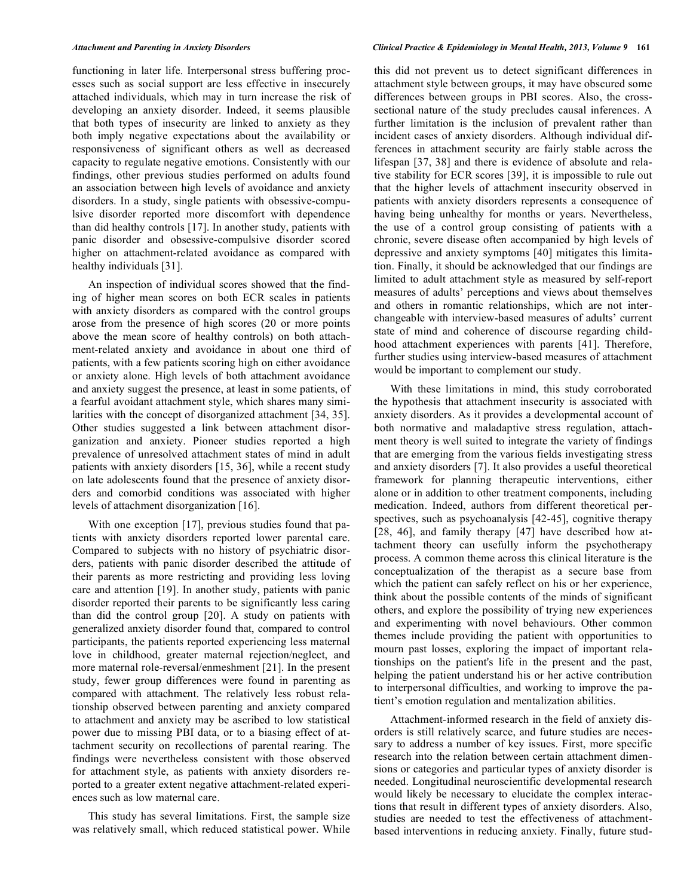functioning in later life. Interpersonal stress buffering processes such as social support are less effective in insecurely attached individuals, which may in turn increase the risk of developing an anxiety disorder. Indeed, it seems plausible that both types of insecurity are linked to anxiety as they both imply negative expectations about the availability or responsiveness of significant others as well as decreased capacity to regulate negative emotions. Consistently with our findings, other previous studies performed on adults found an association between high levels of avoidance and anxiety disorders. In a study, single patients with obsessive-compulsive disorder reported more discomfort with dependence than did healthy controls [17]. In another study, patients with panic disorder and obsessive-compulsive disorder scored higher on attachment-related avoidance as compared with healthy individuals [31].

An inspection of individual scores showed that the finding of higher mean scores on both ECR scales in patients with anxiety disorders as compared with the control groups arose from the presence of high scores (20 or more points above the mean score of healthy controls) on both attachment-related anxiety and avoidance in about one third of patients, with a few patients scoring high on either avoidance or anxiety alone. High levels of both attachment avoidance and anxiety suggest the presence, at least in some patients, of a fearful avoidant attachment style, which shares many similarities with the concept of disorganized attachment [34, 35]. Other studies suggested a link between attachment disorganization and anxiety. Pioneer studies reported a high prevalence of unresolved attachment states of mind in adult patients with anxiety disorders [15, 36], while a recent study on late adolescents found that the presence of anxiety disorders and comorbid conditions was associated with higher levels of attachment disorganization [16].

With one exception [17], previous studies found that patients with anxiety disorders reported lower parental care. Compared to subjects with no history of psychiatric disorders, patients with panic disorder described the attitude of their parents as more restricting and providing less loving care and attention [19]. In another study, patients with panic disorder reported their parents to be significantly less caring than did the control group [20]. A study on patients with generalized anxiety disorder found that, compared to control participants, the patients reported experiencing less maternal love in childhood, greater maternal rejection/neglect, and more maternal role-reversal/enmeshment [21]. In the present study, fewer group differences were found in parenting as compared with attachment. The relatively less robust relationship observed between parenting and anxiety compared to attachment and anxiety may be ascribed to low statistical power due to missing PBI data, or to a biasing effect of attachment security on recollections of parental rearing. The findings were nevertheless consistent with those observed for attachment style, as patients with anxiety disorders reported to a greater extent negative attachment-related experiences such as low maternal care.

This study has several limitations. First, the sample size was relatively small, which reduced statistical power. While this did not prevent us to detect significant differences in attachment style between groups, it may have obscured some differences between groups in PBI scores. Also, the crosssectional nature of the study precludes causal inferences. A further limitation is the inclusion of prevalent rather than incident cases of anxiety disorders. Although individual differences in attachment security are fairly stable across the lifespan [37, 38] and there is evidence of absolute and relative stability for ECR scores [39], it is impossible to rule out that the higher levels of attachment insecurity observed in patients with anxiety disorders represents a consequence of having being unhealthy for months or years. Nevertheless, the use of a control group consisting of patients with a chronic, severe disease often accompanied by high levels of depressive and anxiety symptoms [40] mitigates this limitation. Finally, it should be acknowledged that our findings are limited to adult attachment style as measured by self-report measures of adults' perceptions and views about themselves and others in romantic relationships, which are not interchangeable with interview-based measures of adults' current state of mind and coherence of discourse regarding childhood attachment experiences with parents [41]. Therefore, further studies using interview-based measures of attachment would be important to complement our study.

With these limitations in mind, this study corroborated the hypothesis that attachment insecurity is associated with anxiety disorders. As it provides a developmental account of both normative and maladaptive stress regulation, attachment theory is well suited to integrate the variety of findings that are emerging from the various fields investigating stress and anxiety disorders [7]. It also provides a useful theoretical framework for planning therapeutic interventions, either alone or in addition to other treatment components, including medication. Indeed, authors from different theoretical perspectives, such as psychoanalysis [42-45], cognitive therapy [28, 46], and family therapy [47] have described how attachment theory can usefully inform the psychotherapy process. A common theme across this clinical literature is the conceptualization of the therapist as a secure base from which the patient can safely reflect on his or her experience, think about the possible contents of the minds of significant others, and explore the possibility of trying new experiences and experimenting with novel behaviours. Other common themes include providing the patient with opportunities to mourn past losses, exploring the impact of important relationships on the patient's life in the present and the past, helping the patient understand his or her active contribution to interpersonal difficulties, and working to improve the patient's emotion regulation and mentalization abilities.

Attachment-informed research in the field of anxiety disorders is still relatively scarce, and future studies are necessary to address a number of key issues. First, more specific research into the relation between certain attachment dimensions or categories and particular types of anxiety disorder is needed. Longitudinal neuroscientific developmental research would likely be necessary to elucidate the complex interactions that result in different types of anxiety disorders. Also, studies are needed to test the effectiveness of attachmentbased interventions in reducing anxiety. Finally, future stud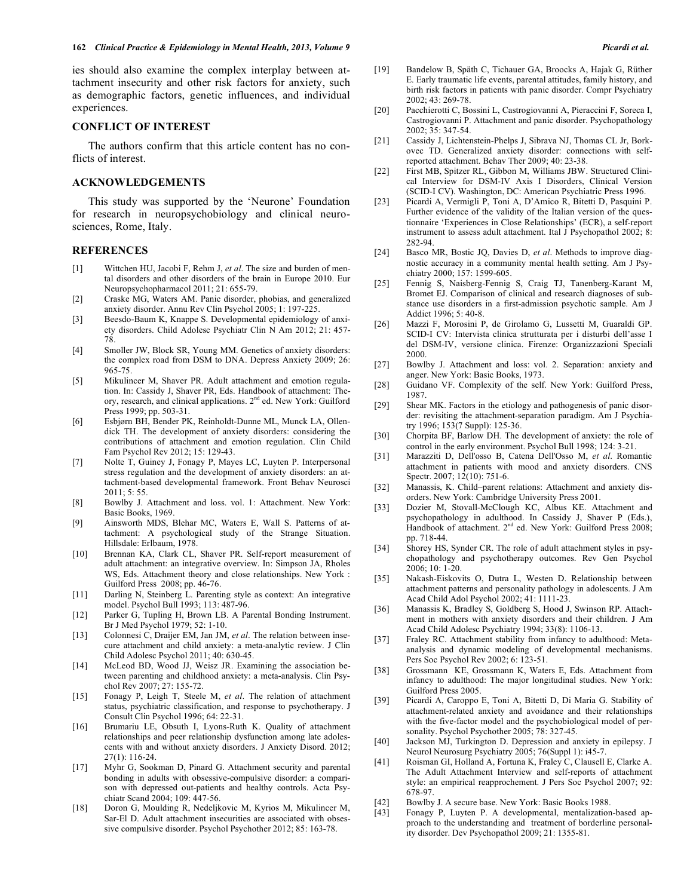ies should also examine the complex interplay between attachment insecurity and other risk factors for anxiety, such as demographic factors, genetic influences, and individual experiences.

# **CONFLICT OF INTEREST**

The authors confirm that this article content has no conflicts of interest.

## **ACKNOWLEDGEMENTS**

This study was supported by the 'Neurone' Foundation for research in neuropsychobiology and clinical neurosciences, Rome, Italy.

# **REFERENCES**

- [1] Wittchen HU, Jacobi F, Rehm J, *et al*. The size and burden of mental disorders and other disorders of the brain in Europe 2010. Eur Neuropsychopharmacol 2011; 21: 655-79.
- [2] Craske MG, Waters AM. Panic disorder, phobias, and generalized anxiety disorder. Annu Rev Clin Psychol 2005; 1: 197-225.
- [3] Beesdo-Baum K, Knappe S. Developmental epidemiology of anxiety disorders. Child Adolesc Psychiatr Clin N Am 2012; 21: 457- 78.
- [4] Smoller JW, Block SR, Young MM. Genetics of anxiety disorders: the complex road from DSM to DNA. Depress Anxiety 2009; 26: 965-75.
- [5] Mikulincer M, Shaver PR. Adult attachment and emotion regulation. In: Cassidy J, Shaver PR, Eds. Handbook of attachment: Theory, research, and clinical applications. 2<sup>nd</sup> ed. New York: Guilford Press 1999; pp. 503-31.
- [6] Esbjørn BH, Bender PK, Reinholdt-Dunne ML, Munck LA, Ollendick TH. The development of anxiety disorders: considering the contributions of attachment and emotion regulation. Clin Child Fam Psychol Rev 2012; 15: 129-43.
- [7] Nolte T, Guiney J, Fonagy P, Mayes LC, Luyten P. Interpersonal stress regulation and the development of anxiety disorders: an attachment-based developmental framework. Front Behav Neurosci 2011; 5: 55.
- [8] Bowlby J. Attachment and loss. vol. 1: Attachment. New York: Basic Books, 1969.
- [9] Ainsworth MDS, Blehar MC, Waters E, Wall S. Patterns of attachment: A psychological study of the Strange Situation. Hillsdale: Erlbaum, 1978.
- [10] Brennan KA, Clark CL, Shaver PR. Self-report measurement of adult attachment: an integrative overview. In: Simpson JA, Rholes WS, Eds. Attachment theory and close relationships. New York : Guilford Press 2008; pp. 46-76.
- [11] Darling N, Steinberg L. Parenting style as context: An integrative model. Psychol Bull 1993; 113: 487-96.
- [12] Parker G, Tupling H, Brown LB. A Parental Bonding Instrument. Br J Med Psychol 1979; 52: 1-10.
- [13] Colonnesi C, Draijer EM, Jan JM, *et al*. The relation between insecure attachment and child anxiety: a meta-analytic review. J Clin Child Adolesc Psychol 2011; 40: 630-45.
- [14] McLeod BD, Wood JJ, Weisz JR. Examining the association between parenting and childhood anxiety: a meta-analysis. Clin Psychol Rev 2007; 27: 155-72.
- [15] Fonagy P, Leigh T, Steele M, *et al*. The relation of attachment status, psychiatric classification, and response to psychotherapy. J Consult Clin Psychol 1996; 64: 22-31.
- [16] Brumariu LE, Obsuth I, Lyons-Ruth K. Quality of attachment relationships and peer relationship dysfunction among late adolescents with and without anxiety disorders. J Anxiety Disord. 2012; 27(1): 116-24.
- [17] Myhr G, Sookman D, Pinard G. Attachment security and parental bonding in adults with obsessive-compulsive disorder: a comparison with depressed out-patients and healthy controls. Acta Psychiatr Scand 2004; 109: 447-56.
- [18] Doron G, Moulding R, Nedeljkovic M, Kyrios M, Mikulincer M, Sar-El D. Adult attachment insecurities are associated with obsessive compulsive disorder. Psychol Psychother 2012; 85: 163-78.
- [19] Bandelow B, Späth C, Tichauer GA, Broocks A, Hajak G, Rüther E. Early traumatic life events, parental attitudes, family history, and birth risk factors in patients with panic disorder. Compr Psychiatry 2002; 43: 269-78.
- [20] Pacchierotti C, Bossini L, Castrogiovanni A, Pieraccini F, Soreca I, Castrogiovanni P. Attachment and panic disorder. Psychopathology 2002; 35: 347-54.
- [21] Cassidy J, Lichtenstein-Phelps J, Sibrava NJ, Thomas CL Jr, Borkovec TD. Generalized anxiety disorder: connections with selfreported attachment. Behav Ther 2009; 40: 23-38.
- [22] First MB, Spitzer RL, Gibbon M, Williams JBW. Structured Clinical Interview for DSM-IV Axis I Disorders, Clinical Version (SCID-I CV). Washington, DC: American Psychiatric Press 1996.
- [23] Picardi A, Vermigli P, Toni A, D'Amico R, Bitetti D, Pasquini P. Further evidence of the validity of the Italian version of the questionnaire 'Experiences in Close Relationships' (ECR), a self-report instrument to assess adult attachment. Ital J Psychopathol 2002; 8: 282-94.
- [24] Basco MR, Bostic JQ, Davies D, *et al*. Methods to improve diagnostic accuracy in a community mental health setting. Am J Psychiatry 2000; 157: 1599-605.
- [25] Fennig S, Naisberg-Fennig S, Craig TJ, Tanenberg-Karant M, Bromet EJ. Comparison of clinical and research diagnoses of substance use disorders in a first-admission psychotic sample. Am J Addict 1996; 5: 40-8.
- [26] Mazzi F, Morosini P, de Girolamo G, Lussetti M, Guaraldi GP. SCID-I CV: Intervista clinica strutturata per i disturbi dell'asse I del DSM-IV, versione clinica. Firenze: Organizzazioni Speciali 2000.
- [27] Bowlby J. Attachment and loss: vol. 2. Separation: anxiety and anger. New York: Basic Books, 1973.
- [28] Guidano VF. Complexity of the self. New York: Guilford Press, 1987.
- [29] Shear MK. Factors in the etiology and pathogenesis of panic disorder: revisiting the attachment-separation paradigm. Am J Psychiatry 1996; 153(7 Suppl): 125-36.
- [30] Chorpita BF, Barlow DH. The development of anxiety: the role of control in the early environment. Psychol Bull 1998; 124: 3-21.
- [31] Marazziti D, Dell'osso B, Catena Dell'Osso M, *et al*. Romantic attachment in patients with mood and anxiety disorders. CNS Spectr. 2007; 12(10): 751-6.
- [32] Manassis, K. Child–parent relations: Attachment and anxiety disorders. New York: Cambridge University Press 2001.
- [33] Dozier M, Stovall-McClough KC, Albus KE. Attachment and psychopathology in adulthood. In Cassidy J, Shaver P (Eds.), Handbook of attachment. 2<sup>nd</sup> ed. New York: Guilford Press 2008; pp. 718-44.
- [34] Shorey HS, Synder CR. The role of adult attachment styles in psychopathology and psychotherapy outcomes. Rev Gen Psychol 2006; 10: 1-20.
- [35] Nakash-Eiskovits O, Dutra L, Westen D. Relationship between attachment patterns and personality pathology in adolescents. J Am Acad Child Adol Psychol 2002; 41: 1111-23.
- [36] Manassis K, Bradley S, Goldberg S, Hood J, Swinson RP. Attachment in mothers with anxiety disorders and their children. J Am Acad Child Adolesc Psychiatry 1994; 33(8): 1106-13.
- [37] Fraley RC. Attachment stability from infancy to adulthood: Metaanalysis and dynamic modeling of developmental mechanisms. Pers Soc Psychol Rev 2002; 6: 123-51.
- [38] Grossmann KE, Grossmann K, Waters E, Eds. Attachment from infancy to adulthood: The major longitudinal studies. New York: Guilford Press 2005.
- [39] Picardi A, Caroppo E, Toni A, Bitetti D, Di Maria G. Stability of attachment-related anxiety and avoidance and their relationships with the five-factor model and the psychobiological model of personality. Psychol Psychother 2005; 78: 327-45.
- [40] Jackson MJ, Turkington D. Depression and anxiety in epilepsy. J Neurol Neurosurg Psychiatry 2005; 76(Suppl 1): i45-7.
- [41] Roisman GI, Holland A, Fortuna K, Fraley C, Clausell E, Clarke A. The Adult Attachment Interview and self-reports of attachment style: an empirical reapprochement. J Pers Soc Psychol 2007; 92: 678-97.
- [42] Bowlby J. A secure base. New York: Basic Books 1988.
- [43] Fonagy P, Luyten P. A developmental, mentalization-based approach to the understanding and treatment of borderline personality disorder. Dev Psychopathol 2009; 21: 1355-81.